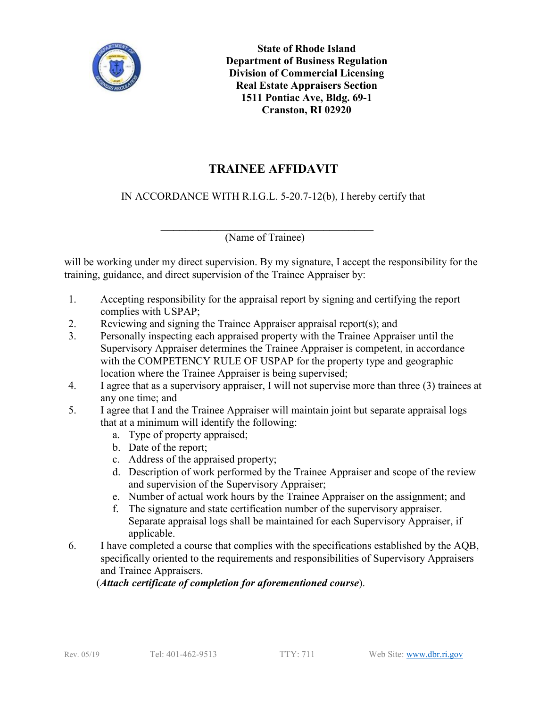

**State of Rhode Island Department of Business Regulation Division of Commercial Licensing Real Estate Appraisers Section 1511 Pontiac Ave, Bldg. 69-1 Cranston, RI 02920**

## **TRAINEE AFFIDAVIT**

IN ACCORDANCE WITH R.I.G.L. 5-20.7-12(b), I hereby certify that

\_\_\_\_\_\_\_\_\_\_\_\_\_\_\_\_\_\_\_\_\_\_\_\_\_\_\_\_\_\_\_\_\_\_ (Name of Trainee)

will be working under my direct supervision. By my signature, I accept the responsibility for the training, guidance, and direct supervision of the Trainee Appraiser by:

- 1. Accepting responsibility for the appraisal report by signing and certifying the report complies with USPAP;
- 2. Reviewing and signing the Trainee Appraiser appraisal report(s); and
- 3. Personally inspecting each appraised property with the Trainee Appraiser until the Supervisory Appraiser determines the Trainee Appraiser is competent, in accordance with the COMPETENCY RULE OF USPAP for the property type and geographic location where the Trainee Appraiser is being supervised;
- 4. I agree that as a supervisory appraiser, I will not supervise more than three (3) trainees at any one time; and
- 5. I agree that I and the Trainee Appraiser will maintain joint but separate appraisal logs that at a minimum will identify the following:
	- a. Type of property appraised;
	- b. Date of the report;
	- c. Address of the appraised property;
	- d. Description of work performed by the Trainee Appraiser and scope of the review and supervision of the Supervisory Appraiser;
	- e. Number of actual work hours by the Trainee Appraiser on the assignment; and
	- f. The signature and state certification number of the supervisory appraiser. Separate appraisal logs shall be maintained for each Supervisory Appraiser, if applicable.
- 6. I have completed a course that complies with the specifications established by the AQB, specifically oriented to the requirements and responsibilities of Supervisory Appraisers and Trainee Appraisers.

(*Attach certificate of completion for aforementioned course*).